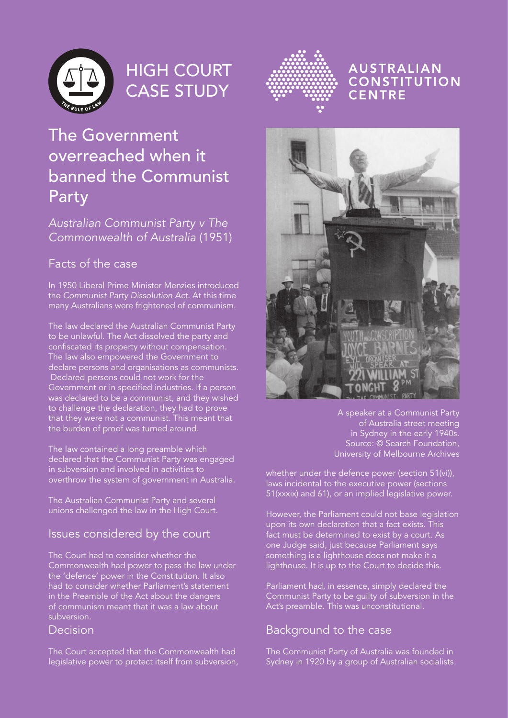

# HIGH COURT CASE STUDY



#### **AUSTRALIAN CONSTITUTION** CENTRE

## The Government overreached when it banned the Communist Party

#### Australian Communist Party v The Commonwealth of Australia (1951)

### Facts of the case

In 1950 Liberal Prime Minister Menzies introduced the Communist Party Dissolution Act. At this time many Australians were frightened of communism.

The law declared the Australian Communist Party to be unlawful. The Act dissolved the party and confiscated its property without compensation. The law also empowered the Government to declare persons and organisations as communists. Declared persons could not work for the Government or in specified industries. If a person was declared to be a communist, and they wished to challenge the declaration, they had to prove that they were not a communist. This meant that the burden of proof was turned around.

The law contained a long preamble which declared that the Communist Party was engaged in subversion and involved in activities to overthrow the system of government in Australia.

The Australian Communist Party and several unions challenged the law in the High Court.

#### Issues considered by the court

The Court had to consider whether the Commonwealth had power to pass the law under the 'defence' power in the Constitution. It also had to consider whether Parliament's statement in the Preamble of the Act about the dangers of communism meant that it was a law about subversion.

#### **Decision**

The Court accepted that the Commonwealth had legislative power to protect itself from subversion,



A speaker at a Communist Party of Australia street meeting in Sydney in the early 1940s. Source: © Search Foundation, University of Melbourne Archives

whether under the defence power (section 51(vi)), laws incidental to the executive power (sections 51(xxxix) and 61), or an implied legislative power.

However, the Parliament could not base legislation upon its own declaration that a fact exists. This fact must be determined to exist by a court. As one Judge said, just because Parliament says something is a lighthouse does not make it a lighthouse. It is up to the Court to decide this.

Parliament had, in essence, simply declared the Communist Party to be guilty of subversion in the Act's preamble. This was unconstitutional.

#### Background to the case

The Communist Party of Australia was founded in Sydney in 1920 by a group of Australian socialists